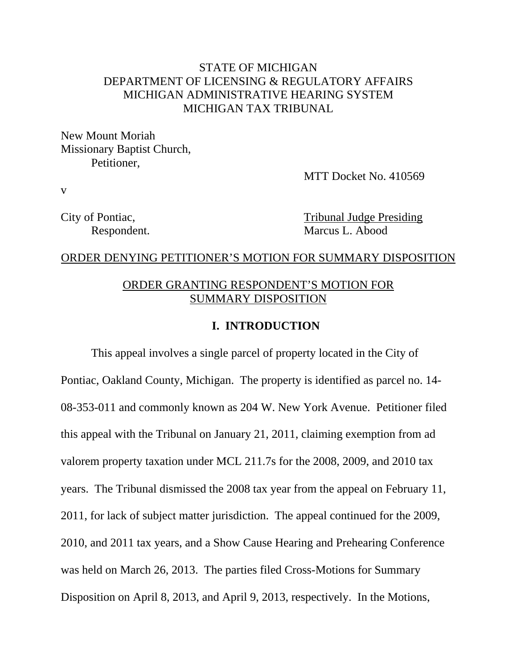# STATE OF MICHIGAN DEPARTMENT OF LICENSING & REGULATORY AFFAIRS MICHIGAN ADMINISTRATIVE HEARING SYSTEM MICHIGAN TAX TRIBUNAL

New Mount Moriah Missionary Baptist Church, Petitioner,

MTT Docket No. 410569

v

City of Pontiac, Tribunal Judge Presiding Respondent. Marcus L. Abood

#### ORDER DENYING PETITIONER'S MOTION FOR SUMMARY DISPOSITION

### ORDER GRANTING RESPONDENT'S MOTION FOR SUMMARY DISPOSITION

### **I. INTRODUCTION**

This appeal involves a single parcel of property located in the City of Pontiac, Oakland County, Michigan. The property is identified as parcel no. 14- 08-353-011 and commonly known as 204 W. New York Avenue. Petitioner filed this appeal with the Tribunal on January 21, 2011, claiming exemption from ad valorem property taxation under MCL 211.7s for the 2008, 2009, and 2010 tax years. The Tribunal dismissed the 2008 tax year from the appeal on February 11, 2011, for lack of subject matter jurisdiction. The appeal continued for the 2009, 2010, and 2011 tax years, and a Show Cause Hearing and Prehearing Conference was held on March 26, 2013. The parties filed Cross-Motions for Summary Disposition on April 8, 2013, and April 9, 2013, respectively. In the Motions,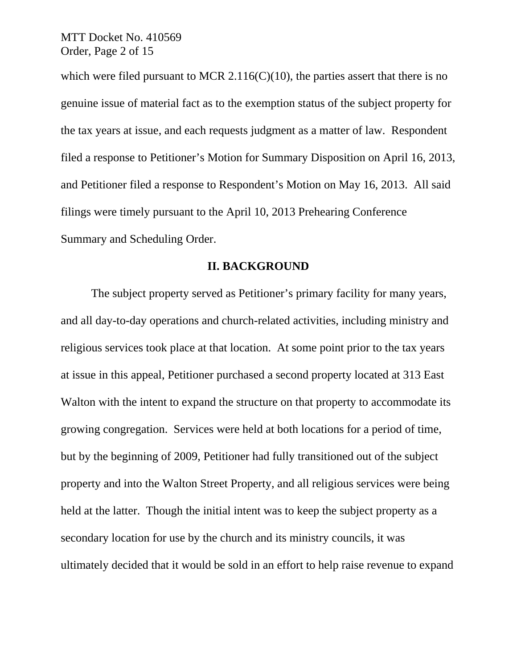MTT Docket No. 410569 Order, Page 2 of 15

which were filed pursuant to MCR 2.116( $C(10)$ , the parties assert that there is no genuine issue of material fact as to the exemption status of the subject property for the tax years at issue, and each requests judgment as a matter of law. Respondent filed a response to Petitioner's Motion for Summary Disposition on April 16, 2013, and Petitioner filed a response to Respondent's Motion on May 16, 2013. All said filings were timely pursuant to the April 10, 2013 Prehearing Conference Summary and Scheduling Order.

#### **II. BACKGROUND**

The subject property served as Petitioner's primary facility for many years, and all day-to-day operations and church-related activities, including ministry and religious services took place at that location. At some point prior to the tax years at issue in this appeal, Petitioner purchased a second property located at 313 East Walton with the intent to expand the structure on that property to accommodate its growing congregation. Services were held at both locations for a period of time, but by the beginning of 2009, Petitioner had fully transitioned out of the subject property and into the Walton Street Property, and all religious services were being held at the latter. Though the initial intent was to keep the subject property as a secondary location for use by the church and its ministry councils, it was ultimately decided that it would be sold in an effort to help raise revenue to expand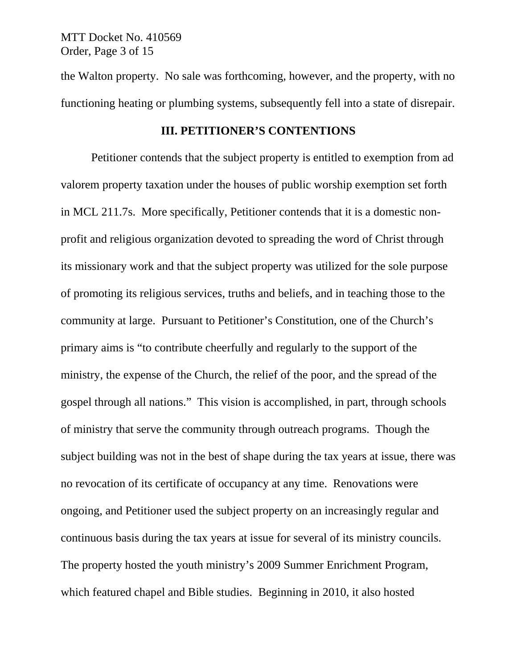MTT Docket No. 410569 Order, Page 3 of 15

the Walton property. No sale was forthcoming, however, and the property, with no functioning heating or plumbing systems, subsequently fell into a state of disrepair.

## **III. PETITIONER'S CONTENTIONS**

 Petitioner contends that the subject property is entitled to exemption from ad valorem property taxation under the houses of public worship exemption set forth in MCL 211.7s. More specifically, Petitioner contends that it is a domestic nonprofit and religious organization devoted to spreading the word of Christ through its missionary work and that the subject property was utilized for the sole purpose of promoting its religious services, truths and beliefs, and in teaching those to the community at large. Pursuant to Petitioner's Constitution, one of the Church's primary aims is "to contribute cheerfully and regularly to the support of the ministry, the expense of the Church, the relief of the poor, and the spread of the gospel through all nations." This vision is accomplished, in part, through schools of ministry that serve the community through outreach programs. Though the subject building was not in the best of shape during the tax years at issue, there was no revocation of its certificate of occupancy at any time. Renovations were ongoing, and Petitioner used the subject property on an increasingly regular and continuous basis during the tax years at issue for several of its ministry councils. The property hosted the youth ministry's 2009 Summer Enrichment Program, which featured chapel and Bible studies. Beginning in 2010, it also hosted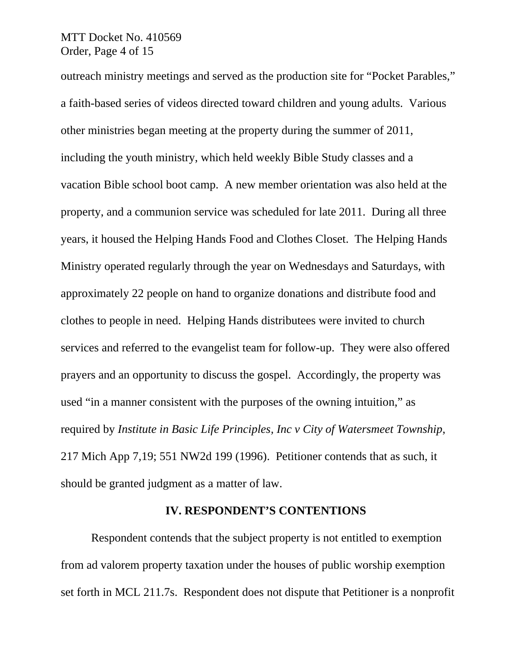## MTT Docket No. 410569 Order, Page 4 of 15

outreach ministry meetings and served as the production site for "Pocket Parables," a faith-based series of videos directed toward children and young adults. Various other ministries began meeting at the property during the summer of 2011, including the youth ministry, which held weekly Bible Study classes and a vacation Bible school boot camp. A new member orientation was also held at the property, and a communion service was scheduled for late 2011. During all three years, it housed the Helping Hands Food and Clothes Closet. The Helping Hands Ministry operated regularly through the year on Wednesdays and Saturdays, with approximately 22 people on hand to organize donations and distribute food and clothes to people in need. Helping Hands distributees were invited to church services and referred to the evangelist team for follow-up. They were also offered prayers and an opportunity to discuss the gospel. Accordingly, the property was used "in a manner consistent with the purposes of the owning intuition," as required by *Institute in Basic Life Principles, Inc v City of Watersmeet Township*, 217 Mich App 7,19; 551 NW2d 199 (1996). Petitioner contends that as such, it should be granted judgment as a matter of law.

#### **IV. RESPONDENT'S CONTENTIONS**

Respondent contends that the subject property is not entitled to exemption from ad valorem property taxation under the houses of public worship exemption set forth in MCL 211.7s. Respondent does not dispute that Petitioner is a nonprofit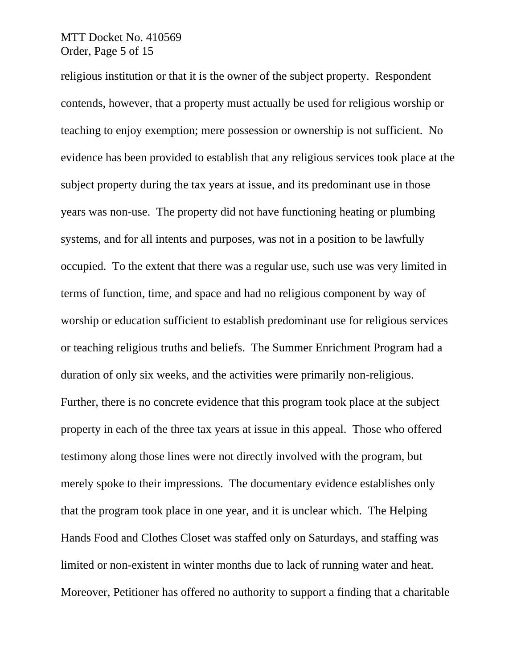## MTT Docket No. 410569 Order, Page 5 of 15

religious institution or that it is the owner of the subject property. Respondent contends, however, that a property must actually be used for religious worship or teaching to enjoy exemption; mere possession or ownership is not sufficient. No evidence has been provided to establish that any religious services took place at the subject property during the tax years at issue, and its predominant use in those years was non-use. The property did not have functioning heating or plumbing systems, and for all intents and purposes, was not in a position to be lawfully occupied. To the extent that there was a regular use, such use was very limited in terms of function, time, and space and had no religious component by way of worship or education sufficient to establish predominant use for religious services or teaching religious truths and beliefs. The Summer Enrichment Program had a duration of only six weeks, and the activities were primarily non-religious. Further, there is no concrete evidence that this program took place at the subject property in each of the three tax years at issue in this appeal. Those who offered testimony along those lines were not directly involved with the program, but merely spoke to their impressions. The documentary evidence establishes only that the program took place in one year, and it is unclear which. The Helping Hands Food and Clothes Closet was staffed only on Saturdays, and staffing was limited or non-existent in winter months due to lack of running water and heat. Moreover, Petitioner has offered no authority to support a finding that a charitable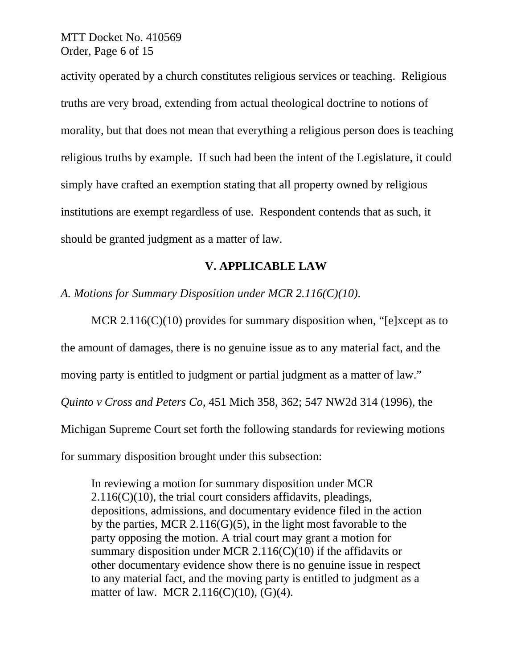MTT Docket No. 410569 Order, Page 6 of 15

activity operated by a church constitutes religious services or teaching. Religious truths are very broad, extending from actual theological doctrine to notions of morality, but that does not mean that everything a religious person does is teaching religious truths by example. If such had been the intent of the Legislature, it could simply have crafted an exemption stating that all property owned by religious institutions are exempt regardless of use. Respondent contends that as such, it should be granted judgment as a matter of law.

# **V. APPLICABLE LAW**

*A. Motions for Summary Disposition under MCR 2.116(C)(10).*

MCR  $2.116(C)(10)$  provides for summary disposition when, "[e]xcept as to the amount of damages, there is no genuine issue as to any material fact, and the moving party is entitled to judgment or partial judgment as a matter of law." *Quinto v Cross and Peters Co*, 451 Mich 358, 362; 547 NW2d 314 (1996), the Michigan Supreme Court set forth the following standards for reviewing motions for summary disposition brought under this subsection:

In reviewing a motion for summary disposition under MCR  $2.116(C)(10)$ , the trial court considers affidavits, pleadings, depositions, admissions, and documentary evidence filed in the action by the parties, MCR 2.116(G)(5), in the light most favorable to the party opposing the motion. A trial court may grant a motion for summary disposition under MCR 2.116( $C(10)$ ) if the affidavits or other documentary evidence show there is no genuine issue in respect to any material fact, and the moving party is entitled to judgment as a matter of law. MCR 2.116(C)(10), (G)(4).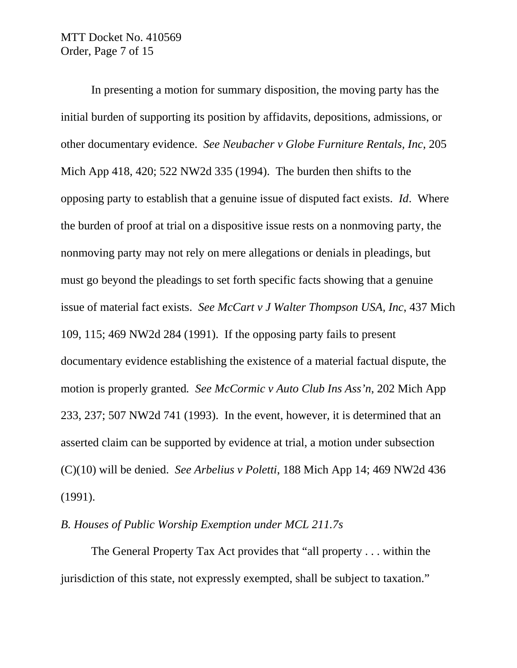MTT Docket No. 410569 Order, Page 7 of 15

In presenting a motion for summary disposition, the moving party has the initial burden of supporting its position by affidavits, depositions, admissions, or other documentary evidence. *See Neubacher v Globe Furniture Rentals, Inc*, 205 Mich App 418, 420; 522 NW2d 335 (1994). The burden then shifts to the opposing party to establish that a genuine issue of disputed fact exists. *Id*. Where the burden of proof at trial on a dispositive issue rests on a nonmoving party, the nonmoving party may not rely on mere allegations or denials in pleadings, but must go beyond the pleadings to set forth specific facts showing that a genuine issue of material fact exists. *See McCart v J Walter Thompson USA, Inc*, 437 Mich 109, 115; 469 NW2d 284 (1991). If the opposing party fails to present documentary evidence establishing the existence of a material factual dispute, the motion is properly granted*. See McCormic v Auto Club Ins Ass'n*, 202 Mich App 233, 237; 507 NW2d 741 (1993). In the event, however, it is determined that an asserted claim can be supported by evidence at trial, a motion under subsection (C)(10) will be denied. *See Arbelius v Poletti*, 188 Mich App 14; 469 NW2d 436 (1991).

### *B. Houses of Public Worship Exemption under MCL 211.7s*

The General Property Tax Act provides that "all property . . . within the jurisdiction of this state, not expressly exempted, shall be subject to taxation."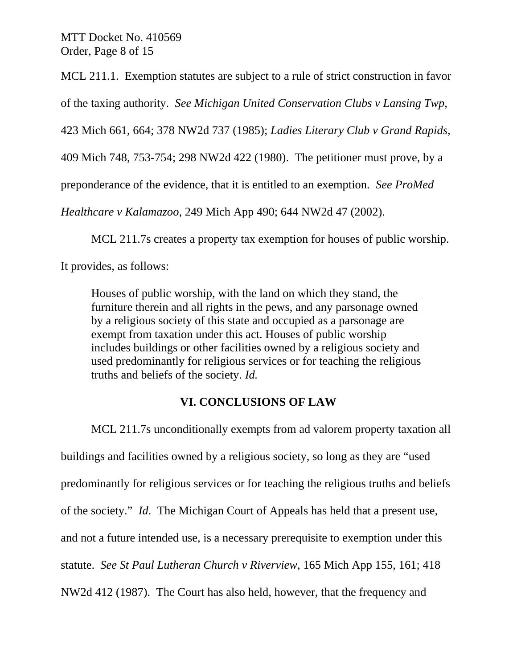MTT Docket No. 410569 Order, Page 8 of 15

MCL 211.1. Exemption statutes are subject to a rule of strict construction in favor

of the taxing authority. *See Michigan United Conservation Clubs v Lansing Twp*,

423 Mich 661, 664; 378 NW2d 737 (1985); *Ladies Literary Club v Grand Rapids*,

409 Mich 748, 753-754; 298 NW2d 422 (1980). The petitioner must prove, by a

preponderance of the evidence, that it is entitled to an exemption. *See ProMed* 

*Healthcare v Kalamazoo*, 249 Mich App 490; 644 NW2d 47 (2002).

MCL 211.7s creates a property tax exemption for houses of public worship.

It provides, as follows:

Houses of public worship, with the land on which they stand, the furniture therein and all rights in the pews, and any parsonage owned by a religious society of this state and occupied as a parsonage are exempt from taxation under this act. Houses of public worship includes buildings or other facilities owned by a religious society and used predominantly for religious services or for teaching the religious truths and beliefs of the society. *Id.* 

# **VI. CONCLUSIONS OF LAW**

MCL 211.7s unconditionally exempts from ad valorem property taxation all buildings and facilities owned by a religious society, so long as they are "used predominantly for religious services or for teaching the religious truths and beliefs of the society." *Id*. The Michigan Court of Appeals has held that a present use, and not a future intended use, is a necessary prerequisite to exemption under this statute. *See St Paul Lutheran Church v Riverview*, 165 Mich App 155, 161; 418 NW2d 412 (1987). The Court has also held, however, that the frequency and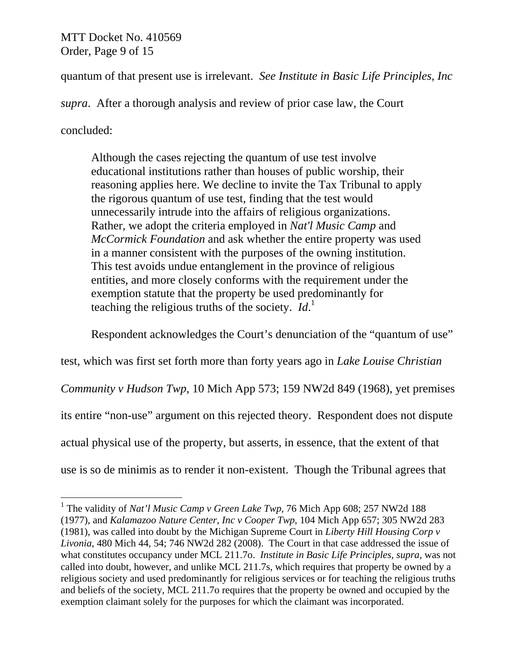MTT Docket No. 410569 Order, Page 9 of 15

quantum of that present use is irrelevant. *See Institute in Basic Life Principles, Inc* 

*supra*. After a thorough analysis and review of prior case law, the Court

concluded:

Although the cases rejecting the quantum of use test involve educational institutions rather than houses of public worship, their reasoning applies here. We decline to invite the Tax Tribunal to apply the rigorous quantum of use test, finding that the test would unnecessarily intrude into the affairs of religious organizations. Rather, we adopt the criteria employed in *Nat'l Music Camp* and *McCormick Foundation* and ask whether the entire property was used in a manner consistent with the purposes of the owning institution. This test avoids undue entanglement in the province of religious entities, and more closely conforms with the requirement under the exemption statute that the property be used predominantly for teaching the religious truths of the society. *Id*. 1

Respondent acknowledges the Court's denunciation of the "quantum of use"

test, which was first set forth more than forty years ago in *Lake Louise Christian* 

*Community v Hudson Twp*, 10 Mich App 573; 159 NW2d 849 (1968), yet premises

its entire "non-use" argument on this rejected theory. Respondent does not dispute

actual physical use of the property, but asserts, in essence, that the extent of that

use is so de minimis as to render it non-existent. Though the Tribunal agrees that

<sup>&</sup>lt;sup>1</sup> The validity of *Nat'l Music Camp v Green Lake Twp*, 76 Mich App 608; 257 NW2d 188 (1977), and *Kalamazoo Nature Center, Inc v Cooper Twp*, 104 Mich App 657; 305 NW2d 283 (1981), was called into doubt by the Michigan Supreme Court in *Liberty Hill Housing Corp v Livonia,* 480 Mich 44, 54; 746 NW2d 282 (2008). The Court in that case addressed the issue of what constitutes occupancy under MCL 211.7o. *Institute in Basic Life Principles, supra,* was not called into doubt, however, and unlike MCL 211.7s, which requires that property be owned by a religious society and used predominantly for religious services or for teaching the religious truths and beliefs of the society, MCL 211.7o requires that the property be owned and occupied by the exemption claimant solely for the purposes for which the claimant was incorporated.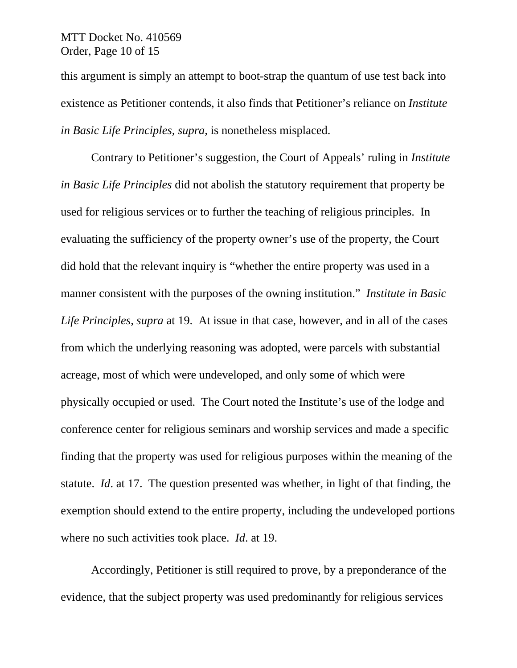## MTT Docket No. 410569 Order, Page 10 of 15

this argument is simply an attempt to boot-strap the quantum of use test back into existence as Petitioner contends, it also finds that Petitioner's reliance on *Institute in Basic Life Principles, supra,* is nonetheless misplaced.

Contrary to Petitioner's suggestion, the Court of Appeals' ruling in *Institute in Basic Life Principles* did not abolish the statutory requirement that property be used for religious services or to further the teaching of religious principles. In evaluating the sufficiency of the property owner's use of the property, the Court did hold that the relevant inquiry is "whether the entire property was used in a manner consistent with the purposes of the owning institution." *Institute in Basic Life Principles, supra* at 19. At issue in that case, however, and in all of the cases from which the underlying reasoning was adopted, were parcels with substantial acreage, most of which were undeveloped, and only some of which were physically occupied or used. The Court noted the Institute's use of the lodge and conference center for religious seminars and worship services and made a specific finding that the property was used for religious purposes within the meaning of the statute. *Id*. at 17. The question presented was whether, in light of that finding, the exemption should extend to the entire property, including the undeveloped portions where no such activities took place. *Id*. at 19.

Accordingly, Petitioner is still required to prove, by a preponderance of the evidence, that the subject property was used predominantly for religious services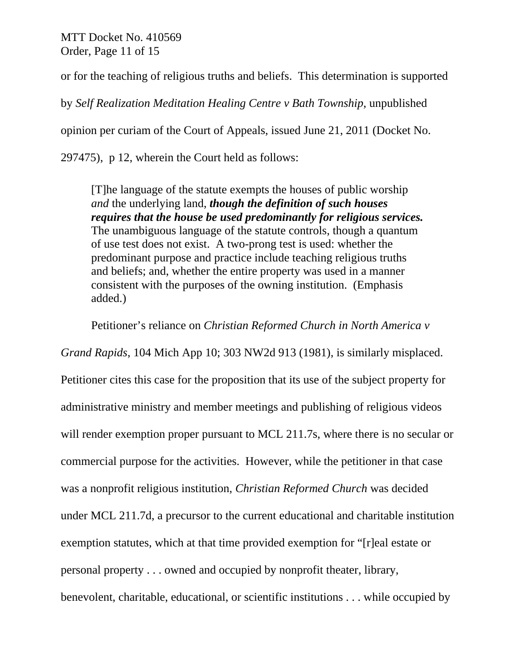MTT Docket No. 410569 Order, Page 11 of 15

or for the teaching of religious truths and beliefs. This determination is supported

by *Self Realization Meditation Healing Centre v Bath Township*, unpublished

opinion per curiam of the Court of Appeals, issued June 21, 2011 (Docket No.

297475), p 12, wherein the Court held as follows:

[T]he language of the statute exempts the houses of public worship *and* the underlying land, *though the definition of such houses requires that the house be used predominantly for religious services.*  The unambiguous language of the statute controls, though a quantum of use test does not exist. A two-prong test is used: whether the predominant purpose and practice include teaching religious truths and beliefs; and, whether the entire property was used in a manner consistent with the purposes of the owning institution. (Emphasis added.)

Petitioner's reliance on *Christian Reformed Church in North America v* 

*Grand Rapids*, 104 Mich App 10; 303 NW2d 913 (1981), is similarly misplaced. Petitioner cites this case for the proposition that its use of the subject property for administrative ministry and member meetings and publishing of religious videos will render exemption proper pursuant to MCL 211.7s, where there is no secular or commercial purpose for the activities. However, while the petitioner in that case was a nonprofit religious institution, *Christian Reformed Church* was decided under MCL 211.7d, a precursor to the current educational and charitable institution exemption statutes, which at that time provided exemption for "[r]eal estate or personal property . . . owned and occupied by nonprofit theater, library, benevolent, charitable, educational, or scientific institutions . . . while occupied by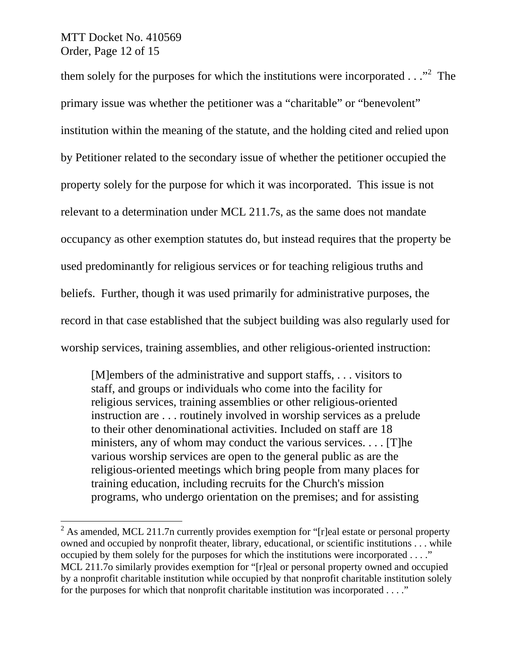MTT Docket No. 410569 Order, Page 12 of 15

 $\overline{a}$ 

them solely for the purposes for which the institutions were incorporated  $\dots$ <sup>2</sup> The primary issue was whether the petitioner was a "charitable" or "benevolent" institution within the meaning of the statute, and the holding cited and relied upon by Petitioner related to the secondary issue of whether the petitioner occupied the property solely for the purpose for which it was incorporated. This issue is not relevant to a determination under MCL 211.7s, as the same does not mandate occupancy as other exemption statutes do, but instead requires that the property be used predominantly for religious services or for teaching religious truths and beliefs. Further, though it was used primarily for administrative purposes, the record in that case established that the subject building was also regularly used for worship services, training assemblies, and other religious-oriented instruction:

[M]embers of the administrative and support staffs, . . . visitors to staff, and groups or individuals who come into the facility for religious services, training assemblies or other religious-oriented instruction are . . . routinely involved in worship services as a prelude to their other denominational activities. Included on staff are 18 ministers, any of whom may conduct the various services. . . . [T]he various worship services are open to the general public as are the religious-oriented meetings which bring people from many places for training education, including recruits for the Church's mission programs, who undergo orientation on the premises; and for assisting

<sup>&</sup>lt;sup>2</sup> As amended, MCL 211.7n currently provides exemption for "[r]eal estate or personal property owned and occupied by nonprofit theater, library, educational, or scientific institutions . . . while occupied by them solely for the purposes for which the institutions were incorporated . . . ." MCL 211.7o similarly provides exemption for "[r]eal or personal property owned and occupied by a nonprofit charitable institution while occupied by that nonprofit charitable institution solely for the purposes for which that nonprofit charitable institution was incorporated . . . ."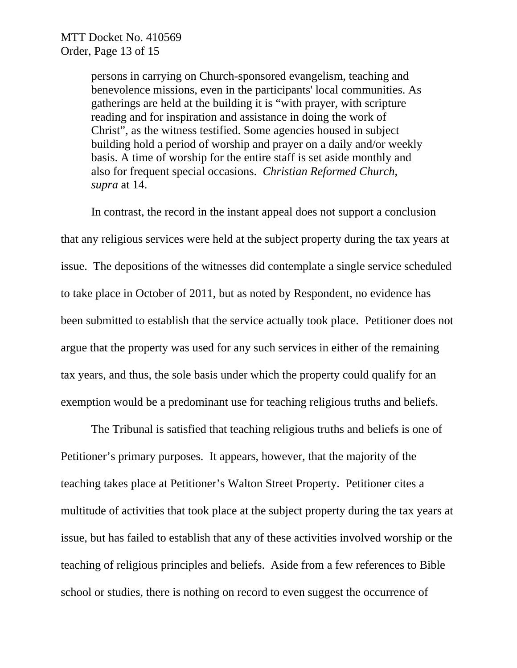persons in carrying on Church-sponsored evangelism, teaching and benevolence missions, even in the participants' local communities. As gatherings are held at the building it is "with prayer, with scripture reading and for inspiration and assistance in doing the work of Christ", as the witness testified. Some agencies housed in subject building hold a period of worship and prayer on a daily and/or weekly basis. A time of worship for the entire staff is set aside monthly and also for frequent special occasions. *Christian Reformed Church*, *supra* at 14.

In contrast, the record in the instant appeal does not support a conclusion that any religious services were held at the subject property during the tax years at issue. The depositions of the witnesses did contemplate a single service scheduled to take place in October of 2011, but as noted by Respondent, no evidence has been submitted to establish that the service actually took place. Petitioner does not argue that the property was used for any such services in either of the remaining tax years, and thus, the sole basis under which the property could qualify for an exemption would be a predominant use for teaching religious truths and beliefs.

The Tribunal is satisfied that teaching religious truths and beliefs is one of Petitioner's primary purposes. It appears, however, that the majority of the teaching takes place at Petitioner's Walton Street Property. Petitioner cites a multitude of activities that took place at the subject property during the tax years at issue, but has failed to establish that any of these activities involved worship or the teaching of religious principles and beliefs. Aside from a few references to Bible school or studies, there is nothing on record to even suggest the occurrence of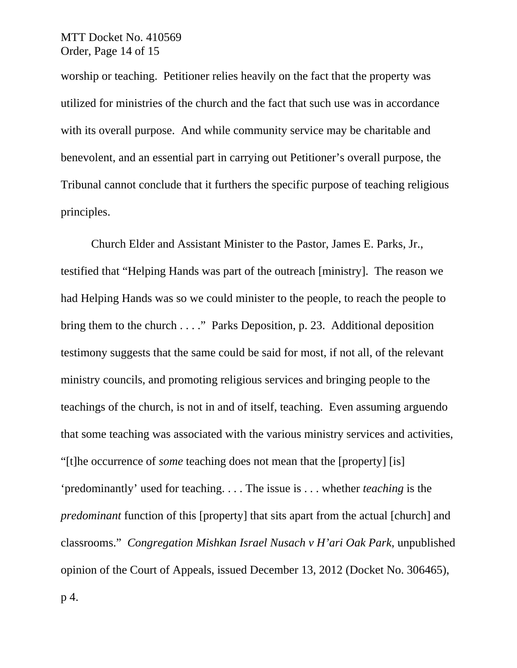worship or teaching. Petitioner relies heavily on the fact that the property was utilized for ministries of the church and the fact that such use was in accordance with its overall purpose. And while community service may be charitable and benevolent, and an essential part in carrying out Petitioner's overall purpose, the Tribunal cannot conclude that it furthers the specific purpose of teaching religious principles.

Church Elder and Assistant Minister to the Pastor, James E. Parks, Jr., testified that "Helping Hands was part of the outreach [ministry]. The reason we had Helping Hands was so we could minister to the people, to reach the people to bring them to the church . . . ." Parks Deposition, p. 23. Additional deposition testimony suggests that the same could be said for most, if not all, of the relevant ministry councils, and promoting religious services and bringing people to the teachings of the church, is not in and of itself, teaching. Even assuming arguendo that some teaching was associated with the various ministry services and activities, "[t]he occurrence of *some* teaching does not mean that the [property] [is] 'predominantly' used for teaching. . . . The issue is . . . whether *teaching* is the *predominant* function of this [property] that sits apart from the actual [church] and classrooms." *Congregation Mishkan Israel Nusach v H'ari Oak Park*, unpublished opinion of the Court of Appeals, issued December 13, 2012 (Docket No. 306465), p 4.